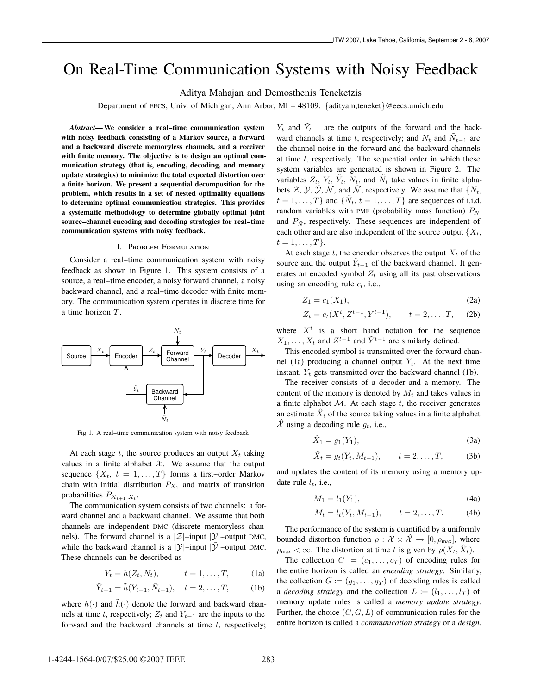# On Real-Time Communication Systems with Noisy Feedback

Aditya Mahajan and Demosthenis Teneketzis

Department of EECS, Univ. of Michigan, Ann Arbor, MI – 48109. *{*adityam,teneket*}*@eecs.umich.edu

*Abstract***— We consider a real--time communication system with noisy feedback consisting of a Markov source, a forward and a backward discrete memoryless channels, and a receiver with finite memory. The objective is to design an optimal communication strategy (that is, encoding, decoding, and memory update strategies) to minimize the total expected distortion over a finite horizon. We present a sequential decomposition for the problem, which results in a set of nested optimality equations to determine optimal communication strategies. This provides a systematic methodology to determine globally optimal joint source--channel encoding and decoding strategies for real--time communication systems with noisy feedback.**

#### I. Problem Formulation

Consider a real-time communication system with noisy feedback as shown in Figure 1. This system consists of a source, a real-time encoder, a noisy forward channel, a noisy backward channel, and a real-time decoder with finite memory. The communication system operates in discrete time for a time horizon *T*.



Fig 1. A real-time communication system with noisy feedback

At each stage  $t$ , the source produces an output  $X_t$  taking values in a finite alphabet  $\mathcal{X}$ . We assume that the output sequence  $\{X_t, t = 1, \ldots, T\}$  forms a first-order Markov chain with initial distribution  $P_{X_1}$  and matrix of transition probabilities  $P_{X_{t+1}|X_t}$ .

The communication system consists of two channels: a forward channel and a backward channel. We assume that both channels are independent DMC (discrete memoryless channels). The forward channel is a  $|\mathcal{Z}|$ -input  $|\mathcal{Y}|$ -output DMC, while the backward channel is a  $|y|$ -input  $|\tilde{y}|$ -output DMC. These channels can be described as

$$
Y_t = h(Z_t, N_t), \qquad t = 1, \dots, T,
$$
 (1a)

$$
\tilde{Y}_{t-1} = \tilde{h}(Y_{t-1}, \tilde{N}_{t-1}), \quad t = 2, \dots, T,
$$
 (1b)

where  $h(\cdot)$  and  $\tilde{h}(\cdot)$  denote the forward and backward channels at time *t*, respectively;  $Z_t$  and  $Y_{t-1}$  are the inputs to the forward and the backward channels at time *t*, respectively;

*Y*<sup>t</sup> and  $\tilde{Y}_{t-1}$  are the outputs of the forward and the backward channels at time *t*, respectively; and  $N_t$  and  $N_{t-1}$  are the channel noise in the forward and the backward channels at time *t*, respectively. The sequential order in which these system variables are generated is shown in Figure 2. The variables  $Z_t$ ,  $Y_t$ ,  $\tilde{Y}_t$ ,  $N_t$ , and  $\tilde{N}_t$  take values in finite alphabets  $\mathcal{Z}, \mathcal{Y}, \mathcal{Y}, \mathcal{N}$ , and  $\mathcal{N}$ , respectively. We assume that  $\{N_t,$  $t = 1, \ldots, T$ *}* and  $\{\tilde{N}_t, t = 1, \ldots, T\}$  are sequences of i.i.d. random variables with PMF (probability mass function) *<sup>P</sup>N* and  $P_{\tilde{N}}$ , respectively. These sequences are independent of each other and are also independent of the source output  ${X_t}$ ,  $t = 1, \ldots, T$ .

At each stage  $t$ , the encoder observes the output  $X_t$  of the source and the output  $Y_{t-1}$  of the backward channel. It generates an encoded symbol  $Z_t$  using all its past observations using an encoding rule *<sup>c</sup>t*, i.e.,

$$
Z_1 = c_1(X_1),\tag{2a}
$$

$$
Z_t = c_t(X^t, Z^{t-1}, \tilde{Y}^{t-1}), \qquad t = 2, ..., T, \quad (2b)
$$

where  $X<sup>t</sup>$  is a short hand notation for the sequence *X*<sub>1</sub>,...,*X*<sub>t</sub> and *Z*<sup>*t*−1</sup> and  $\tilde{Y}$ <sup>*t*−1</sup> are similarly defined.

This encoded symbol is transmitted over the forward channel (1a) producing a channel output  $Y_t$ . At the next time instant,  $Y_t$  gets transmitted over the backward channel (1b).

The receiver consists of a decoder and a memory. The content of the memory is denoted by  $M_t$  and takes values in a finite alphabet *<sup>M</sup>*. At each stage *t*, the receiver generates an estimate  $\hat{X}_t$  of the source taking values in a finite alphabet  $\mathcal X$  using a decoding rule  $g_t$ , i.e.,

$$
\hat{X}_1 = g_1(Y_1),\tag{3a}
$$

$$
\hat{X}_t = g_t(Y_t, M_{t-1}), \qquad t = 2, ..., T,
$$
 (3b)

and updates the content of its memory using a memory update rule *<sup>l</sup>t*, i.e.,

$$
M_1 = l_1(Y_1),
$$
 (4a)

$$
M_t = l_t(Y_t, M_{t-1}),
$$
  $t = 2,...,T.$  (4b)

The performance of the system is quantified by a uniformly bounded distortion function  $\rho : \mathcal{X} \times \hat{\mathcal{X}} \rightarrow [0, \rho_{\text{max}}],$  where  $\rho_{\text{max}} < \infty$ . The distortion at time *t* is given by  $\rho(X_t, \hat{X}_t)$ .

The collection  $C := (c_1, \ldots, c_T)$  of encoding rules for the entire horizon is called an *encoding strategy*. Similarly, the collection  $G := (g_1, \ldots, g_T)$  of decoding rules is called a *decoding strategy* and the collection  $L := (l_1, \ldots, l_T)$  of memory update rules is called a *memory update strategy*. Further, the choice  $(C, G, L)$  of communication rules for the entire horizon is called a *communication strategy* or a *design*.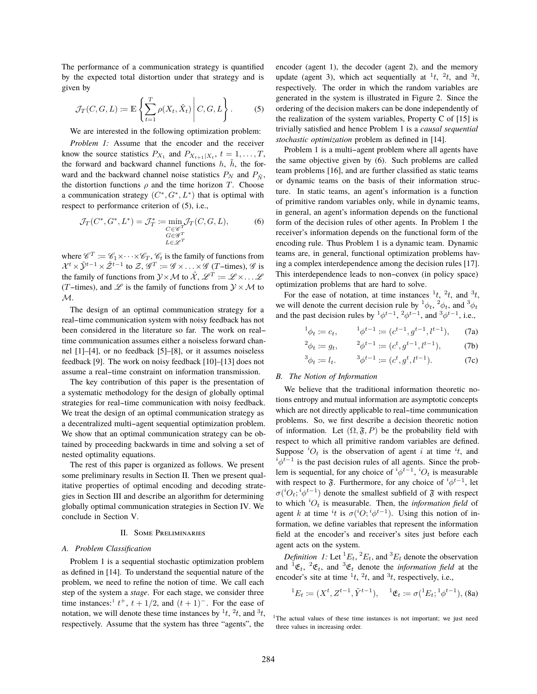The performance of a communication strategy is quantified by the expected total distortion under that strategy and is given by

$$
\mathcal{J}_T(C, G, L) := \mathbb{E}\left\{ \sum_{t=1}^T \rho(X_t, \hat{X}_t) \middle| C, G, L \right\}.
$$
 (5)

We are interested in the following optimization problem:

*Problem 1:* Assume that the encoder and the receiver know the source statistics  $P_{X_1}$  and  $P_{X_{t+1}|X_t}$ ,  $t = 1, \ldots, T$ , the forward and backward channel functions  $h$ ,  $\tilde{h}$ , the forward and the backward channel noise statistics  $P_N$  and  $P_{\tilde{N}}$ , the distortion functions  $\rho$  and the time horizon *T*. Choose a communication strategy  $(C^*, G^*, L^*)$  that is optimal with respect to performance criterion of (5), i.e.,

$$
\mathcal{J}_T(C^*, G^*, L^*) = \mathcal{J}_T^* := \min_{\substack{C \in \mathscr{C}^T \\ G \in \mathscr{G}^T \\ L \in \mathscr{L}^T}} \mathcal{J}_T(C, G, L),
$$
(6)

where  $\mathscr{C}^T := \mathscr{C}_1 \times \cdots \times \mathscr{C}_T$ ,  $\mathscr{C}_t$  is the family of functions from  $\mathcal{V}^t \times \tilde{\mathcal{V}}^{t-1} \times \tilde{\mathcal{Z}}^{t-1}$  to  $\mathscr{Z}$  of  $\cdots$  of  $\mathscr{C}$  or  $\mathscr{C}$  (*T* times)  $\mathscr{C}$  is  $\mathcal{X}^t \times \tilde{\mathcal{Y}}^{t-1} \times \tilde{\mathcal{Z}}^{t-1}$  to  $\mathcal{Z}, \mathcal{G}^T := \mathcal{G} \times \ldots \times \mathcal{G}$  (*T*-times),  $\mathcal{G}$  is<br>the family of functions from  $\mathcal{Y} \times M$  to  $\hat{\mathcal{Y}}$   $\mathcal{Q}^T := \mathcal{Q} \times \mathcal{Q}$ the family of functions from  $\mathcal{Y} \times \mathcal{M}$  to  $\hat{\mathcal{X}}, \mathcal{L}^T := \mathcal{L} \times \ldots \mathcal{L}$ (*T*-times), and  $\mathscr L$  is the family of functions from  $\mathcal Y \times \mathcal M$  to *M*.

The design of an optimal communication strategy for a real--time communication system with noisy feedback has not been considered in the literature so far. The work on realtime communication assumes either a noiseless forward channel [1]–[4], or no feedback [5]–[8], or it assumes noiseless feedback [9]. The work on noisy feedback [10]–[13] does not assume a real--time constraint on information transmission.

The key contribution of this paper is the presentation of a systematic methodology for the design of globally optimal strategies for real-time communication with noisy feedback. We treat the design of an optimal communication strategy as a decentralized multi-agent sequential optimization problem. We show that an optimal communication strategy can be obtained by proceeding backwards in time and solving a set of nested optimality equations.

The rest of this paper is organized as follows. We present some preliminary results in Section II. Then we present qualitative properties of optimal encoding and decoding strategies in Section III and describe an algorithm for determining globally optimal communication strategies in Section IV. We conclude in Section V.

## II. Some Preliminaries

# *A. Problem Classification*

Problem 1 is a sequential stochastic optimization problem as defined in [14]. To understand the sequential nature of the problem, we need to refine the notion of time. We call each step of the system a *stage*. For each stage, we consider three time instances:<sup>1</sup>  $t^+$ ,  $t + 1/2$ , and  $(t + 1)^-$ . For the ease of notation we will denote these time instances by  $\frac{1}{t}t^2$  and  $\frac{3}{t}$ notation, we will denote these time instances by  $\frac{1}{t}$ ,  $\frac{2}{t}$ , and  $\frac{3}{t}$ , respectively. Assume that the system has three "agents", the encoder (agent 1), the decoder (agent 2), and the memory update (agent 3), which act sequentially at  $\frac{1}{t}$ ,  $\frac{2}{t}$ , and  $\frac{3}{t}$ , respectively. The order in which the random variables are generated in the system is illustrated in Figure 2. Since the ordering of the decision makers can be done independently of the realization of the system variables, Property C of [15] is trivially satisfied and hence Problem 1 is a *causal sequential stochastic optimization* problem as defined in [14].

Problem 1 is a multi-agent problem where all agents have the same objective given by (6). Such problems are called team problems [16], and are further classified as static teams or dynamic teams on the basis of their information structure. In static teams, an agent's information is a function of primitive random variables only, while in dynamic teams, in general, an agent's information depends on the functional form of the decision rules of other agents. In Problem 1 the receiver's information depends on the functional form of the encoding rule. Thus Problem 1 is a dynamic team. Dynamic teams are, in general, functional optimization problems having a complex interdependence among the decision rules [17]. This interdependence leads to non--convex (in policy space) optimization problems that are hard to solve.

For the ease of notation, at time instances  $\frac{1}{t}$ ,  $\frac{2}{t}$ , and  $\frac{3}{t}$ , we will denote the current decision rule by  ${}^1\phi_t$ ,  ${}^2\phi_t$ , and  ${}^3$ <br>and the past decision rules by  ${}^1\phi_t$ <sup>+</sup>  ${}^2\phi_t$ <sup>-1</sup> and  ${}^3\phi_t$ <sup>+-1</sup> i.e. and the past decision rules by  $\frac{1}{2} \phi^{t-1}$ ,  $\frac{2}{3} \phi^{t-1}$ , and  $\frac{3}{3} \phi^{t-1}$ , i.e.,

$$
\phi_t := c_t, \qquad \begin{array}{c} 1_{\phi} t^{-1} := (c^{t-1}, g^{t-1}, l^{t-1}), \end{array} \tag{7a}
$$

$$
\phi_t := g_t, \qquad {}^2 \phi^{t-1} := (c^t, g^{t-1}, l^{t-1}), \qquad (7b)
$$

$$
\phi_t := l_t.
$$
\n
$$
{}^3\phi^{t-1} := (c^t, g^t, l^{t-1}).
$$
\n(7c)

### *B. The Notion of Information*

1

2

3

We believe that the traditional information theoretic notions entropy and mutual information are asymptotic concepts which are not directly applicable to real--time communication problems. So, we first describe a decision theoretic notion of information. Let  $(\Omega, \mathfrak{F}, P)$  be the probability field with respect to which all primitive random variables are defined. Suppose  ${}^{i}O_{t}$  is the observation of agent *i* at time  ${}^{i}t$ , and  ${}^{i}A^{t-1}$  is the past decision rules of all agents. Since the prob $i^i \phi^{t-1}$  is the past decision rules of all agents. Since the prob-<br>lem is sequential, for any choice of  $i_{\phi} t^{-1}$  is measurable. lem is sequential, for any choice of  $^{i}\phi^{t-1}$ ,  $^{i}O_{t}$  is measurable<br>with respect to  $\mathfrak{F}$ . Furthermore, for any choice of  $^{i} \phi^{t-1}$ , let with respect to  $\tilde{\mathfrak{F}}$ . Furthermore, for any choice of  ${}^{i}\phi^{t-1}$ , let  $\sigma({}^{i}O \cdot {}^{i}A^{t-1})$  denote the smallest subfield of  $\tilde{\mathfrak{F}}$  with respect to which <sup>*i*</sup> $O_t$  is measurable. Then, the *information field* of agent *k* at time *i*<sup>*t*</sup> is  $\sigma({^iO}^i)^{i}$ <sub>*d*</sub><sup>*t*</sup>-1). Using this notion of in  ${}^{i}O_{t}$ ;  ${}^{i}\phi^{t-1}$ ) denote the smallest subfield of  $\mathfrak{F}$  with respect which  ${}^{i}O$  is measurable. Then, the information field of agent *k* at time <sup>*i*</sup>t is  $\sigma({}^{i}O; {}^{i}\phi^{t-1})$ . Using this notion of in-<br>formation, we define variables that represent the information formation, we define variables that represent the information field at the encoder's and receiver's sites just before each agent acts on the system.

*Definition 1:* Let  ${}^{1}E_t$ ,  ${}^{2}E_t$ , and  ${}^{3}E_t$  denote the observation  $dA^{-1}$   $\sigma$  and  ${}^{3}$  denote the *information field* at the and  ${}^{1}$  $\mathfrak{E}_t$ ,  ${}^{2}$  $\mathfrak{E}_t$ , and  ${}^{3}$  $\mathfrak{E}_t$  denote the *information field* at the encoder's site at time  $^{1}t$ ,  $^{2}t$ , and  $^{3}t$ , respectively, i.e.,

$$
{}^{1}E_{t} := (X^{t}, Z^{t-1}, \tilde{Y}^{t-1}), \quad {}^{1}\mathfrak{E}_{t} := \sigma({}^{1}E_{t}; {}^{1}\phi^{t-1}),
$$
(8a)

<sup>&</sup>lt;sup>1</sup>The actual values of these time instances is not important; we just need three values in increasing order.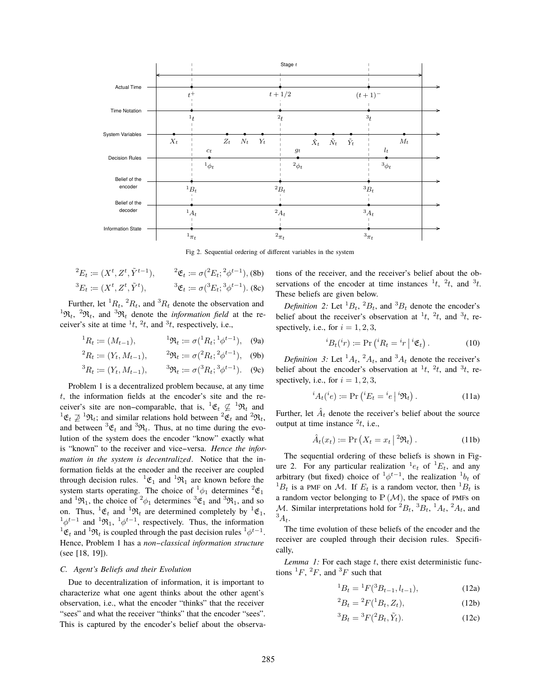

Fig 2. Sequential ordering of different variables in the system

$$
{}^{2}E_{t} := (X^{t}, Z^{t}, \tilde{Y}^{t-1}), \qquad {}^{2}\mathfrak{E}_{t} := \sigma({}^{2}E_{t}; {}^{2}\phi^{t-1}),
$$
 (8b)  

$$
{}^{3}E_{t} := (X^{t}, Z^{t}, \tilde{Y}^{t}), \qquad {}^{3}\mathfrak{E}_{t} := \sigma({}^{3}E_{t}; {}^{3}\phi^{t-1}).
$$
 (8c)

Further, let  ${}^{1}R_t$ ,  ${}^{2}R_t$ , and  ${}^{3}R_t$  denote the observation and<br> ${}^{2}R_t$  and  ${}^{3}R_t$  denote the information field at the re-<sup>1</sup> $\mathfrak{R}_t$ , <sup>2</sup> $\mathfrak{R}_t$ , and <sup>3</sup> $\mathfrak{R}_t$  denote the *information field* at the receiver's site at time  $\frac{1}{t}$ ,  $\frac{2}{t}$ , and  $\frac{3}{t}$ , respectively, i.e.,

$$
{}^{1}R_{t} := (M_{t-1}), \qquad {}^{1} \mathfrak{R}_{t} := \sigma({}^{1}R_{t}; {}^{1} \phi^{t-1}), \quad (9a)
$$

$$
{}^{2}R_{t} := (Y_{t}, M_{t-1}), \qquad {}^{2}\mathfrak{R}_{t} := \sigma({}^{2}R_{t}; {}^{2}\phi^{t-1}), \quad \text{(9b)}
$$

$$
{}^{3}R_{t} := (Y_{t}, M_{t-1}), \qquad {}^{3}\mathfrak{R}_{t} := \sigma({}^{3}R_{t}; {}^{3}\phi^{t-1}). \quad (9c)
$$

Problem 1 is a decentralized problem because, at any time *t*, the information fields at the encoder's site and the receiver's site are non-comparable, that is,  ${}^{1}$  $\mathfrak{E}_t \not\subseteq {}^{1} \mathfrak{R}_t$  and  ${}^{1} \mathfrak{E}_t \rightarrow {}^{1} \mathfrak{R}_t$ , and  ${}^{1} \mathfrak{E}_t \rightarrow {}^{1} \mathfrak{R}_t$  ${}^{1}\mathfrak{E}_{t} \not\supseteq {}^{1}\mathfrak{R}_{t}$ ; and similar relations hold between  ${}^{2}\mathfrak{E}_{t}$  and  ${}^{2}\mathfrak{R}_{t}$ , and between  ${}^3 \mathfrak{E}_t$  and  ${}^3 \mathfrak{R}_t$ . Thus, at no time during the evolution of the system does the encoder "know" exactly what is "known" to the receiver and vice-versa. *Hence the information in the system is decentralized*. Notice that the information fields at the encoder and the receiver are coupled through decision rules.  ${}^{1}\mathfrak{E}_{1}$  and  ${}^{1}\mathfrak{R}_{1}$  are known before the system starts operating. The choice of  ${}^1\phi_1$  determines  ${}^2\mathfrak{E}_1$ <br>and  ${}^1\mathfrak{B}$ , the choice of  ${}^2\phi_1$  determines  ${}^3\mathfrak{E}_1$  and  ${}^3\mathfrak{B}_2$  and so and <sup>1</sup> $\mathfrak{R}_1$ , the choice of <sup>2</sup> $\phi_1$  determines <sup>3</sup> $\mathfrak{E}_1$  and <sup>3</sup> $\mathfrak{R}_1$ , and so on Thus <sup>1</sup> $\mathfrak{E}_2$  and <sup>1</sup> $\mathfrak{R}_3$  are determined completely by <sup>1</sup> $\mathfrak{E}_3$ . on. Thus,  ${}^{1} \mathfrak{E}_{t}$  and  ${}^{1} \mathfrak{R}_{t}$  are determined completely by  ${}^{1} \mathfrak{E}_{1}$ ,  ${}^{1} \mathfrak{L}_{t-1}$  and  ${}^{1} \mathfrak{B}_{t}$ ,  ${}^{1} \mathfrak{L}_{t-1}$  respectively. Thus, the information  $\phi^{t-1}$  and <sup>1</sup> $\mathfrak{R}_1$ , <sup>1</sup> $\phi^{t-1}$ , respectively. Thus, the information  ${}^{1}\mathfrak{E}_{t}$  and  ${}^{1}\mathfrak{R}_{t}$  is coupled through the past decision rules  ${}^{1}\phi^{t-1}$ .<br>Hence Problem 1 has a non-classical information structure Hence, Problem 1 has a *non--classical information structure* (see [18, 19]).

# *C. Agent's Beliefs and their Evolution*

Due to decentralization of information, it is important to characterize what one agent thinks about the other agent's observation, i.e., what the encoder "thinks" that the receiver "sees" and what the receiver "thinks" that the encoder "sees". This is captured by the encoder's belief about the observations of the receiver, and the receiver's belief about the observations of the encoder at time instances  $\frac{1}{t}$ ,  $\frac{2}{t}$ , and  $\frac{3}{t}$ . These beliefs are given below.

*Definition 2:* Let  ${}^{1}B_{t}$ ,  ${}^{2}B_{t}$ , and  ${}^{3}B_{t}$  denote the encoder's light about the receiver's observation at  ${}^{1}t$ ,  ${}^{2}t$ , and  ${}^{3}t$ , re belief about the receiver's observation at  $^1t$ ,  $^2t$ , and  $^3t$ , respectively, i.e., for  $i = 1, 2, 3$ ,

$$
{}^{i}B_{t}({}^{i}r) := \Pr\left({}^{i}R_{t} = {}^{i}r \mid {}^{i}\mathfrak{E}_{t}\right).
$$
 (10)

*Definition 3:* Let  ${}^{1}A_{t}$ ,  ${}^{2}A_{t}$ , and  ${}^{3}A_{t}$  denote the receiver's light has an explanation at  ${}^{1}t {}^{2}t$  and  ${}^{3}t$  re belief about the encoder's observation at  $^1t$ ,  $^2t$ , and  $^3t$ , respectively, i.e., for  $i = 1, 2, 3$ ,

$$
{}^{i}A_{t}({}^{i}e) := \Pr\left({}^{i}E_{t} = {}^{i}e\,\big|{}^{i}\mathfrak{R}_{t}\right). \tag{11a}
$$

Further, let  $\hat{A}_t$  denote the receiver's belief about the source output at time instance  $^{2}t$ , i.e.,

$$
\hat{A}_t(x_t) := \Pr\left(X_t = x_t \mid {}^2 \Re_t\right). \tag{11b}
$$

The sequential ordering of these beliefs is shown in Figure 2. For any particular realization  ${}^{1}e_{t}$  of  ${}^{1}E_{t}$ , and any arbitrary (but fixed) choice of  ${}^{1}\theta_{t}$  of  ${}^{1}E_{t}$ , and any<br>arbitrary (but fixed) choice of  ${}^{1}\phi^{t-1}$ , the realization  ${}^{1}b_{t}$  of<br> ${}^{1}B$  is a PME on *M*, If *E* is a random vector than  ${}^{1}B$  is  ${}^{1}B_{t}$  is a PMF on *M*. If  $E_{t}$  is a random vector, then  ${}^{1}B_{t}$  is a random vector belonging to  $P(M)$ , the space of PMFs on a random vector belonging to  $\mathbb{P}(\mathcal{M})$ , the space of PMFs on *M*. Similar interpretations hold for  ${}^2B_t$ ,  ${}^3B_t$ ,  ${}^1A_t$ ,  ${}^2A_t$ , and  ${}^3A$  $^{3}A_{t}$ .<br>T

The time evolution of these beliefs of the encoder and the receiver are coupled through their decision rules. Specifically,

*Lemma 1:* For each stage *t*, there exist deterministic functions  ${}^{1}F, {}^{2}F,$  and  ${}^{3}F$  such that

$$
{}^{1}B_{t} = {}^{1}F({}^{3}B_{t-1}, l_{t-1}), \qquad (12a)
$$

$$
{}^{2}B_{t} = {}^{2}F({}^{1}B_{t}, Z_{t}), \qquad (12b)
$$

$$
{}^{3}B_{t} = {}^{3}F({}^{2}B_{t}, \tilde{Y}_{t}). \tag{12c}
$$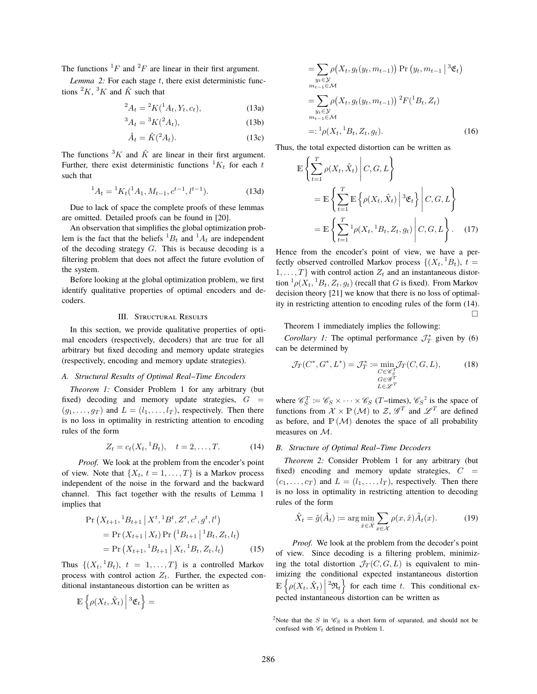The functions  ${}^{1}F$  and  ${}^{2}F$  are linear in their first argument.

*Lemma 2:* For each stage *t*, there exist deterministic functions  ${}^2K$ ,  ${}^3K$  and  $\hat{K}$  such that

$$
{}^{2}A_{t} = {}^{2}K({}^{1}A_{t}, Y_{t}, c_{t}), \qquad (13a)
$$

$$
{}^{3}A_{t} = {}^{3}K({}^{2}A_{t}), \tag{13b}
$$

$$
\hat{A}_t = \hat{K}(^2 A_t). \tag{13c}
$$

The functions <sup>3</sup>K and  $\hat{K}$  are linear in their first argument.<br>Further, there exist deterministic functions  ${}^{1}K$  for each t Further, there exist deterministic functions  ${}^{1}K_t$  for each *t* such that

$$
{}^{1}A_{t} = {}^{1}K_{t}({}^{1}A_{1}, M_{t-1}, c^{t-1}, l^{t-1}). \tag{13d}
$$

Due to lack of space the complete proofs of these lemmas are omitted. Detailed proofs can be found in [20].

An observation that simplifies the global optimization problem is the fact that the beliefs  ${}^{1}B_t$  and  ${}^{1}A_t$  are independent<br>of the decoding strategy C. This is because decoding is a of the decoding strategy *G*. This is because decoding is a filtering problem that does not affect the future evolution of the system.

Before looking at the global optimization problem, we first identify qualitative properties of optimal encoders and decoders.

# III. STRUCTURAL RESULTS

In this section, we provide qualitative properties of optimal encoders (respectively, decoders) that are true for all arbitrary but fixed decoding and memory update strategies (respectively, encoding and memory update strategies).

## *A. Structural Results of Optimal Real--Time Encoders*

*Theorem 1:* Consider Problem 1 for any arbitrary (but fixed) decoding and memory update strategies,  $G =$  $(g_1, \ldots, g_T)$  and  $L = (l_1, \ldots, l_T)$ , respectively. Then there is no loss in optimality in restricting attention to encoding rules of the form

$$
Z_t = c_t(X_t, {}^1B_t), \quad t = 2, \dots, T. \tag{14}
$$

*Proof.* We look at the problem from the encoder's point of view. Note that  $\{X_t, t = 1, \ldots, T\}$  is a Markov process independent of the noise in the forward and the backward channel. This fact together with the results of Lemma 1 implies that

$$
\Pr\left(X_{t+1}, {}^{1}B_{t+1} \middle| X^{t}, {}^{1}B^{t}, Z^{t}, c^{t}, g^{t}, l^{t}\right) \\
= \Pr\left(X_{t+1} \middle| X_{t}\right) \Pr\left({}^{1}B_{t+1} \middle| {}^{1}B_{t}, Z_{t}, l_{t}\right) \\
= \Pr\left(X_{t+1}, {}^{1}B_{t+1} \middle| X_{t}, {}^{1}B_{t}, Z_{t}, l_{t}\right) \tag{15}
$$

Thus  $\{(X_t, {}^1B_t), t = 1, \ldots, T\}$  is a controlled Markov<br>process with control action  $Z$ . Eurther the expected conprocess with control action  $Z_t$ . Further, the expected conditional instantaneous distortion can be written as

$$
\mathbb{E}\left\{\rho(X_t,\hat{X}_t)\,\Big|\,{}^3\mathfrak{E}_t\right\} =
$$

$$
= \sum_{\substack{y_t \in \mathcal{Y} \\ m_{t-1} \in \mathcal{M}}} \rho(X_t, g_t(y_t, m_{t-1})) \Pr(y_t, m_{t-1} | {}^3 \mathfrak{E}_t)
$$
  
\n
$$
= \sum_{\substack{y_t \in \mathcal{Y} \\ m_{t-1} \in \mathcal{M}}} \rho(X_t, g_t(y_t, m_{t-1})) {}^2 F({}^1 B_t, Z_t)
$$
  
\n
$$
= : {}^1 \rho(X_t, {}^1 B_t, Z_t, g_t).
$$
 (16)

Thus, the total expected distortion can be written as

$$
\mathbb{E}\left\{\sum_{t=1}^{T}\rho(X_t, \hat{X}_t) \middle| C, G, L\right\}
$$
\n
$$
= \mathbb{E}\left\{\sum_{t=1}^{T} \mathbb{E}\left\{\rho(X_t, \hat{X}_t) \middle| {}^3\mathfrak{E}_t\right\} \middle| C, G, L\right\}
$$
\n
$$
= \mathbb{E}\left\{\sum_{t=1}^{T} {}^1\rho(X_t, {}^1B_t, Z_t, g_t) \middle| C, G, L\right\}. \quad (17)
$$

Hence from the encoder's point of view, we have a perfectly observed controlled Markov process  $\{(X_t, {}^1B_t), t =$ <br>1 Thurish control action Z, and an instantaneous distor-1,...,  $T$ <sup>}</sup> with control action  $Z_t$  and an instantaneous distortion  ${}^1\rho(X_t, {}^1B_t, Z_t, g_t)$  (recall that *G* is fixed). From Markov decision theory [21] we know that there is no loss of ontimal decision theory [21] we know that there is no loss of optimality in restricting attention to encoding rules of the form (14).  $\Box$ 

Theorem 1 immediately implies the following:

*Corollary 1:* The optimal performance  $\mathcal{J}_T^*$  given by (6) can be determined by

$$
\mathcal{J}_T(C^*, G^*, L^*) = \mathcal{J}_T^* := \min_{\substack{C \in \mathscr{C}_S^T \\ G \in \mathscr{G}^T \\ L \in \mathscr{L}^T}} \mathcal{J}_T(C, G, L), \tag{18}
$$

where  $\mathcal{C}_S^T := \mathcal{C}_S \times \cdots \times \mathcal{C}_S$  (*T*-times),  $\mathcal{C}_S^2$  is the space of functions from  $Y \times P(M)$  to  $Z \times T$  and  $\mathcal{C}_S^T$  are defined functions from  $\mathcal{X} \times \mathbb{P}(\mathcal{M})$  to  $\mathcal{Z}, \mathcal{G}^T$  and  $\mathcal{L}^T$  are defined as before, and  $\mathbb{P}(\mathcal{M})$  denotes the space of all probability measures on *M*.

#### *B. Structure of Optimal Real--Time Decoders*

*Theorem 2:* Consider Problem 1 for any arbitrary (but fixed) encoding and memory update strategies,  $C =$  $(c_1, \ldots, c_T)$  and  $L = (l_1, \ldots, l_T)$ , respectively. Then there is no loss in optimality in restricting attention to decoding rules of the form

$$
\hat{X}_t = \hat{g}(\hat{A}_t) := \arg\min_{\hat{x}\in\hat{\mathcal{X}}} \sum_{x\in\mathcal{X}} \rho(x,\hat{x}) \hat{A}_t(x).
$$
 (19)

*Proof.* We look at the problem from the decoder's point of view. Since decoding is a filtering problem, minimizing the total distortion  $\mathcal{J}_T(C, G, L)$  is equivalent to minimizing the conditional expected instantaneous distortion e {  $\rho$ (*X***t***, X***t**)  $\begin{array}{c} \hline \end{array}$  $\mathbb{E}\left\{\rho(X_t, \hat{X}_t) \middle| {}^2\mathfrak{R}_t\right\}$  for each time *t*. This conditional expected instantaneous distortion can be written as

<sup>&</sup>lt;sup>2</sup>Note that the *S* in  $\mathcal{C}_S$  is a short form of separated, and should not be confused with  $\mathcal{C}_t$  defined in Problem 1.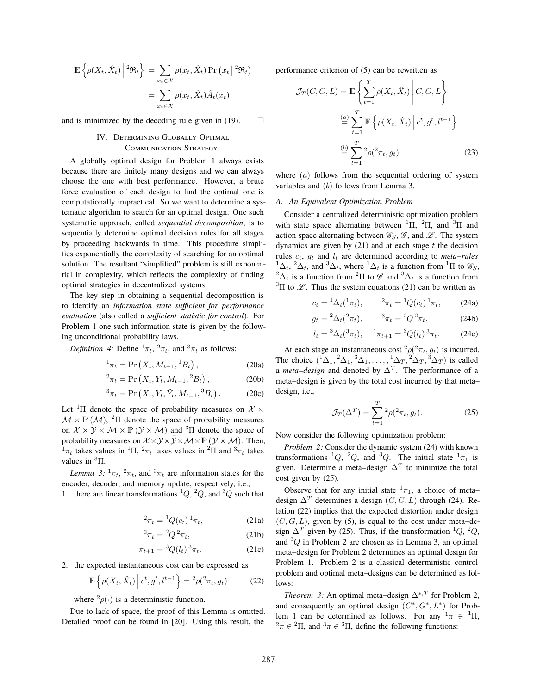$$
\mathbb{E}\left\{\rho(X_t, \hat{X}_t) \middle| \, {}^2\mathfrak{R}_t\right\} = \sum_{x_t \in \mathcal{X}} \rho(x_t, \hat{X}_t) \Pr(x_t \middle| {}^2\mathfrak{R}_t)
$$

$$
= \sum_{x_t \in \mathcal{X}} \rho(x_t, \hat{X}_t) \hat{A}_t(x_t)
$$

and is minimized by the decoding rule given in (19).  $\Box$ 

# IV. Determining Globally Optimal Communication Strategy

A globally optimal design for Problem 1 always exists because there are finitely many designs and we can always choose the one with best performance. However, a brute force evaluation of each design to find the optimal one is computationally impractical. So we want to determine a systematic algorithm to search for an optimal design. One such systematic approach, called *sequential decomposition*, is to sequentially determine optimal decision rules for all stages by proceeding backwards in time. This procedure simplifies exponentially the complexity of searching for an optimal solution. The resultant "simplified" problem is still exponential in complexity, which reflects the complexity of finding optimal strategies in decentralized systems.

The key step in obtaining a sequential decomposition is to identify an *information state sufficient for performance evaluation* (also called a *sufficient statistic for control*). For Problem 1 one such information state is given by the following unconditional probability laws.

*Definition 4:* Define  ${}^{1}\pi_{t}$ ,  ${}^{2}\pi_{t}$ , and  ${}^{3}\pi_{t}$  as follows:

$$
{}^{1}\pi_{t} = \Pr\left(X_{t}, M_{t-1}, {}^{1}B_{t}\right),\tag{20a}
$$

$$
{}^{2}\pi_{t} = \Pr\left(X_{t}, Y_{t}, M_{t-1}, {}^{2}B_{t}\right),\tag{20b}
$$

$$
{}^{3}\pi_{t} = \Pr(X_{t}, Y_{t}, \tilde{Y}_{t}, M_{t-1}, {}^{3}B_{t}).
$$
 (20c)

Let <sup>1</sup>II denote the space of probability measures on  $\mathcal{X} \times M \times \mathbb{P}(M)$ <sup>2</sup>II denote the space of probability measures  $M \times P(M)$ , <sup>2</sup> $\Pi$  denote the space of probability measures on  $X \times Y \times M \times P(Y \times M)$  and <sup>3</sup> $\Pi$  denote the space of probability measures on  $Y \times Y \times \tilde{Y} \times M \times P(Y \times M)$ . Then probability measures on  $\mathcal{X} \times \mathcal{Y} \times \tilde{\mathcal{Y}} \times \mathcal{M} \times \mathbb{P} (\mathcal{Y} \times \mathcal{M})$ . Then,  $^{1}π_t$  takes values in <sup>1</sup>Π, <sup>2</sup>π<sub>*t*</sub> takes values in <sup>2</sup>Π and <sup>3</sup>π<sub>*t*</sub> takes values in <sup>3</sup>Π values in  ${}^{3}\Pi$ .

*Lemma* 3:  $^{1}\pi$ *t*,  $^{2}\pi$ *t*, and  $^{3}\pi$ *t* are information states for the encoder, decoder, and memory update, respectively, i.e.,

1. there are linear transformations <sup>1</sup> $Q$ , <sup>2</sup> $Q$ , and <sup>3</sup> $Q$  such that

$$
{}^{2}\pi_{t} = {}^{1}Q(c_{t}) {}^{1}\pi_{t}, \qquad (21a)
$$

$$
{}^3\pi_t = {}^2Q {}^2\pi_t,\tag{21b}
$$

$$
{}^{1}\pi_{t+1} = {}^{3}Q(l_{t}) {}^{3}\pi_{t}.
$$
 (21c)

2. the expected instantaneous cost can be expressed as

$$
\mathbb{E}\left\{\rho(X_t,\hat{X}_t)\middle| c^t,g^t,l^{t-1}\right\} = \frac{2\rho(2\pi_t,g_t)}{\rho(X_t,g_t)}\tag{22}
$$

where  ${}^{2}\rho(\cdot)$  is a deterministic function.

Due to lack of space, the proof of this Lemma is omitted. Detailed proof can be found in [20]. Using this result, the performance criterion of (5) can be rewritten as

$$
\mathcal{J}_T(C, G, L) = \mathbb{E}\left\{\sum_{t=1}^T \rho(X_t, \hat{X}_t) \middle| C, G, L\right\}
$$

$$
\stackrel{(a)}{=} \sum_{t=1}^T \mathbb{E}\left\{\rho(X_t, \hat{X}_t) \middle| c^t, g^t, l^{t-1}\right\}
$$

$$
\stackrel{(b)}{=} \sum_{t=1}^T {}^2 \rho({}^2 \pi_t, g_t) \tag{23}
$$

where (*a*) follows from the sequential ordering of system variables and (*b*) follows from Lemma 3.

# *A. An Equivalent Optimization Problem*

Consider a centralized deterministic optimization problem with state space alternating between  ${}^{1}\Pi$ ,  ${}^{2}\Pi$ , and  ${}^{3}\Pi$  and setting between  $\mathcal{C}_{\alpha}$ ,  $\mathcal{C}_{\alpha}$  and  $\mathcal{C}_{\alpha}$ . The system action space alternating between  $\mathcal{C}_S$ ,  $\mathcal{G}$ , and  $\mathcal{L}$ . The system dynamics are given by (21) and at each stage *t* the decision rules  $c_t$ ,  $g_t$  and  $l_t$  are determined according to *meta-rules*  $^{1}\Delta_{t}$ ,  $^{2}\Delta_{t}$ , and  $^{3}\Delta_{t}$ , where  $^{1}\Delta_{t}$  is a function from <sup>1</sup> $\Pi$  to  $\mathscr{C}_{S}$ ,  $^{2}\Delta_{t}$  is a function from <sup>2</sup> $\Pi$  to  $\mathscr{C}$  and <sup>3</sup> $\Delta_{t}$  is a function from  $\Delta_t$  is a function from <sup>2</sup>Π to *G* and <sup>3</sup> $\Delta_t$  is a function from  $\Pi$  to *G*. Thus the existent equations (21) can be written as  ${}^{3}\Pi$  to  $\mathscr{L}$ . Thus the system equations (21) can be written as

$$
c_t = {}^1\Delta_t({}^1\pi_t), \qquad {}^2\pi_t = {}^1Q(c_t) {}^1\pi_t, \qquad (24a)
$$

$$
g_t = {}^2\Delta_t({}^2\pi_t), \qquad {}^3\pi_t = {}^2Q {}^2\pi_t, \tag{24b}
$$

$$
l_t = {}^3\Delta_t({}^3\pi_t), \quad {}^1\pi_{t+1} = {}^3Q(l_t) {}^3\pi_t. \tag{24c}
$$

At each stage an instantaneous cost  ${}^2\rho({}^2\pi_t, g_t)$  is incurred. The choice  $({}^{1}\Delta_1, {}^{2}\Delta_1, {}^{3}\Delta_1, \ldots, {}^{1}\Delta_T, {}^{2}\Delta_T, {}^{3}\Delta_T)$  is called<br>a meta design and denoted by  $\Delta^T$ . The performance of a  $\Delta$  *meta-design* and denoted by  $\Delta$ <sup>*T*</sup>. The performance of a meta-design is given by the total cost incurred by that metameta--design is given by the total cost incurred by that meta- design, i.e.,

$$
\mathcal{J}_T(\Delta^T) = \sum_{t=1}^T {}^2 \rho({}^2 \pi_t, g_t). \tag{25}
$$

Now consider the following optimization problem:

*Problem 2:* Consider the dynamic system (24) with known transformations <sup>1</sup>Q, <sup>2</sup>Q, and <sup>3</sup>Q. The initial state <sup>1</sup> $\pi_1$  is given. Determine a meta-design  $\Delta^T$  to minimize the total cost given by (25).

Observe that for any initial state  $\frac{1}{\pi}$ , a choice of metadesign <sup>Δ</sup>*<sup>T</sup>* determines a design (*C, G, L*) through (24). Relation (22) implies that the expected distortion under design  $(C, G, L)$ , given by (5), is equal to the cost under meta-design  $\Delta^T$  given by (25). Thus, if the transformation <sup>1</sup>Q, <sup>2</sup>Q, and <sup>3</sup>Q in Problem 2 are chosen as in Lemma 3, an optimal and  ${}^{3}Q$  in Problem 2 are chosen as in Lemma 3, an optimal<br>meta design for Problem 2 determines an optimal design for meta--design for Problem 2 determines an optimal design for Problem 1. Problem 2 is a classical deterministic control problem and optimal meta-designs can be determined as follows:

*Theorem 3:* An optimal meta-design  $\Delta^{*,T}$  for Problem 2, and consequently an optimal design  $(C^*, G^*, L^*)$  for Problem 1 can be determined as follows. For any  $\frac{1}{\pi} \in {}^{1}\Pi$ ,<br> $\frac{2\pi}{\pi} \in {}^{2}\Pi$  and  $\frac{3\pi}{\pi} \in {}^{3}\Pi$  define the following functions:  $\pi \in {}^{2}\Pi$ , and  ${}^{3}\pi \in {}^{3}\Pi$ , define the following functions: